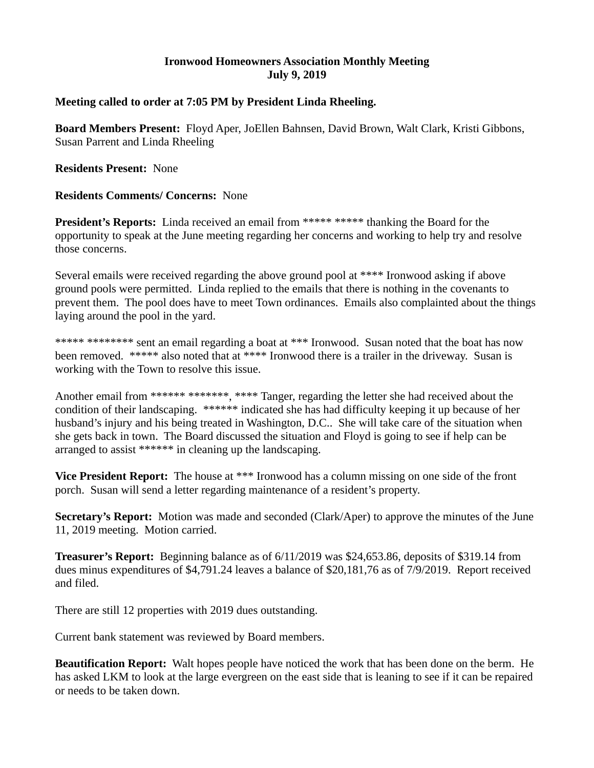## **Ironwood Homeowners Association Monthly Meeting July 9, 2019**

## **Meeting called to order at 7:05 PM by President Linda Rheeling.**

**Board Members Present:** Floyd Aper, JoEllen Bahnsen, David Brown, Walt Clark, Kristi Gibbons, Susan Parrent and Linda Rheeling

**Residents Present:** None

## **Residents Comments/ Concerns:** None

**President's Reports:** Linda received an email from \*\*\*\*\* \*\*\*\*\* thanking the Board for the opportunity to speak at the June meeting regarding her concerns and working to help try and resolve those concerns.

Several emails were received regarding the above ground pool at \*\*\*\* Ironwood asking if above ground pools were permitted. Linda replied to the emails that there is nothing in the covenants to prevent them. The pool does have to meet Town ordinances. Emails also complainted about the things laying around the pool in the yard.

\*\*\*\*\* \*\*\*\*\*\*\*\* sent an email regarding a boat at \*\*\* Ironwood. Susan noted that the boat has now been removed. \*\*\*\*\* also noted that at \*\*\*\* Ironwood there is a trailer in the driveway. Susan is working with the Town to resolve this issue.

Another email from \*\*\*\*\*\* \*\*\*\*\*\*\*, \*\*\*\* Tanger, regarding the letter she had received about the condition of their landscaping. \*\*\*\*\*\* indicated she has had difficulty keeping it up because of her husband's injury and his being treated in Washington, D.C.. She will take care of the situation when she gets back in town. The Board discussed the situation and Floyd is going to see if help can be arranged to assist \*\*\*\*\*\* in cleaning up the landscaping.

**Vice President Report:** The house at \*\*\* Ironwood has a column missing on one side of the front porch. Susan will send a letter regarding maintenance of a resident's property.

**Secretary's Report:** Motion was made and seconded (Clark/Aper) to approve the minutes of the June 11, 2019 meeting. Motion carried.

**Treasurer's Report:** Beginning balance as of 6/11/2019 was \$24,653.86, deposits of \$319.14 from dues minus expenditures of \$4,791.24 leaves a balance of \$20,181,76 as of 7/9/2019. Report received and filed.

There are still 12 properties with 2019 dues outstanding.

Current bank statement was reviewed by Board members.

**Beautification Report:** Walt hopes people have noticed the work that has been done on the berm. He has asked LKM to look at the large evergreen on the east side that is leaning to see if it can be repaired or needs to be taken down.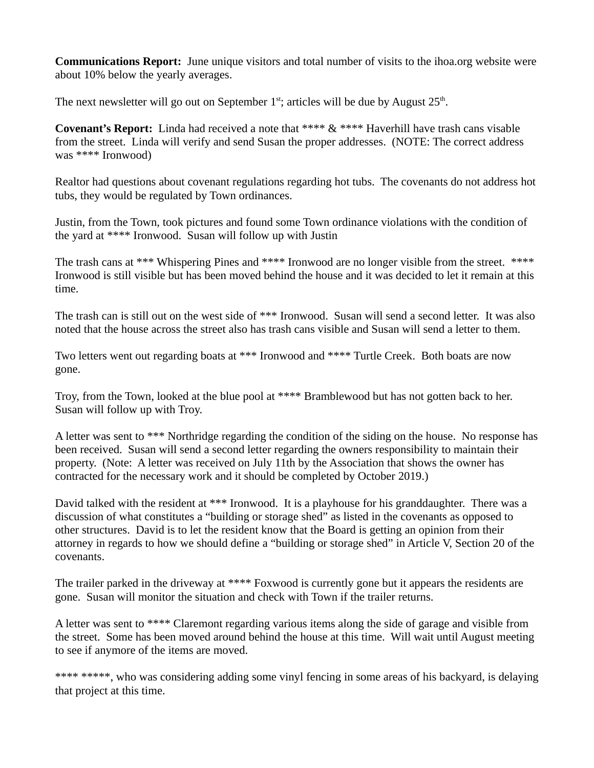**Communications Report:** June unique visitors and total number of visits to the ihoa.org website were about 10% below the yearly averages.

The next newsletter will go out on September  $1<sup>st</sup>$ ; articles will be due by August  $25<sup>th</sup>$ .

**Covenant's Report:** Linda had received a note that \*\*\*\* & \*\*\*\* Haverhill have trash cans visable from the street. Linda will verify and send Susan the proper addresses. (NOTE: The correct address was \*\*\*\* Ironwood)

Realtor had questions about covenant regulations regarding hot tubs. The covenants do not address hot tubs, they would be regulated by Town ordinances.

Justin, from the Town, took pictures and found some Town ordinance violations with the condition of the yard at \*\*\*\* Ironwood. Susan will follow up with Justin

The trash cans at \*\*\* Whispering Pines and \*\*\*\* Ironwood are no longer visible from the street. \*\*\*\* Ironwood is still visible but has been moved behind the house and it was decided to let it remain at this time.

The trash can is still out on the west side of \*\*\* Ironwood. Susan will send a second letter. It was also noted that the house across the street also has trash cans visible and Susan will send a letter to them.

Two letters went out regarding boats at \*\*\* Ironwood and \*\*\*\* Turtle Creek. Both boats are now gone.

Troy, from the Town, looked at the blue pool at \*\*\*\* Bramblewood but has not gotten back to her. Susan will follow up with Troy.

A letter was sent to \*\*\* Northridge regarding the condition of the siding on the house. No response has been received. Susan will send a second letter regarding the owners responsibility to maintain their property. (Note: A letter was received on July 11th by the Association that shows the owner has contracted for the necessary work and it should be completed by October 2019.)

David talked with the resident at \*\*\* Ironwood. It is a playhouse for his granddaughter. There was a discussion of what constitutes a "building or storage shed" as listed in the covenants as opposed to other structures. David is to let the resident know that the Board is getting an opinion from their attorney in regards to how we should define a "building or storage shed" in Article V, Section 20 of the covenants.

The trailer parked in the driveway at \*\*\*\* Foxwood is currently gone but it appears the residents are gone. Susan will monitor the situation and check with Town if the trailer returns.

A letter was sent to \*\*\*\* Claremont regarding various items along the side of garage and visible from the street. Some has been moved around behind the house at this time. Will wait until August meeting to see if anymore of the items are moved.

\*\*\*\* \*\*\*\*\*, who was considering adding some vinyl fencing in some areas of his backyard, is delaying that project at this time.